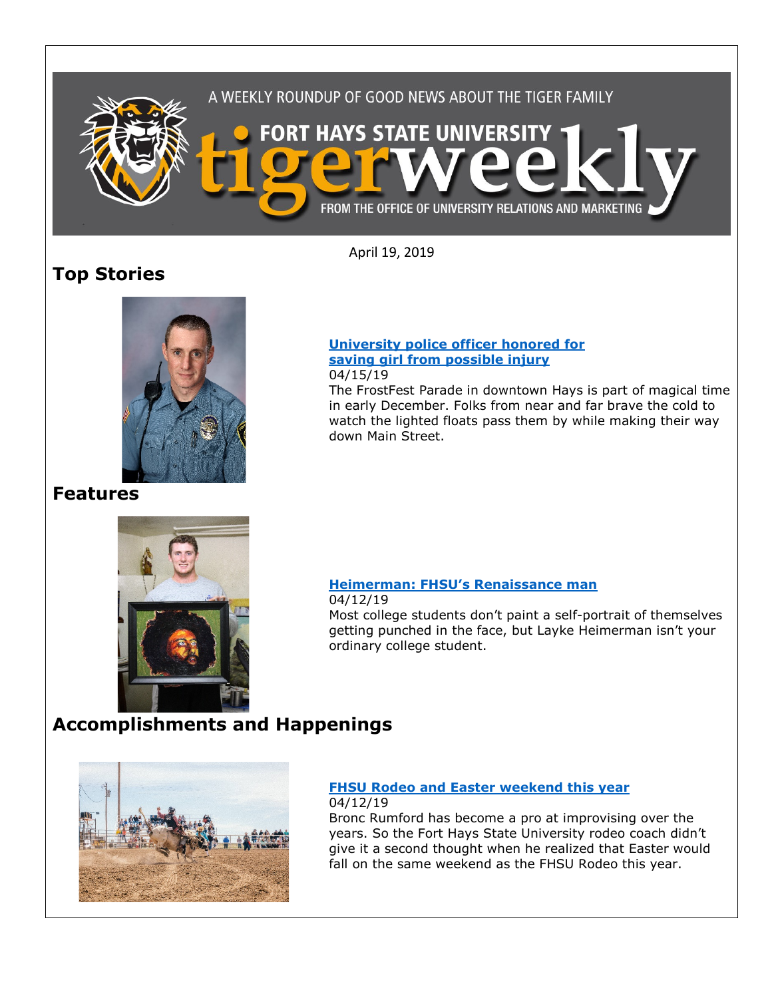

April 19, 2019

# **Top Stories**



#### **[University police officer honored for](https://www.fhsu.edu/news/2019/04/university-police-officer-honored-for-saving-girl-from-possible-injury)  [saving girl from possible injury](https://www.fhsu.edu/news/2019/04/university-police-officer-honored-for-saving-girl-from-possible-injury)** 04/15/19

The FrostFest Parade in downtown Hays is part of magical time in early December. Folks from near and far brave the cold to watch the lighted floats pass them by while making their way down Main Street.

# **Features**



# **[Heimerman: FHSU's Renaissance man](https://www.fhsu.edu/news/2019/04/heimerman-fhsus-renaissance-man)**

04/12/19 Most college students don't paint a self-portrait of themselves getting punched in the face, but Layke Heimerman isn't your ordinary college student.

# **Accomplishments and Happenings**



# **[FHSU Rodeo and Easter weekend this year](https://www.fhsu.edu/news/2019/04/fhsu-rodeo-and-easter-weekend-this-year)**

04/12/19 Bronc Rumford has become a pro at improvising over the years. So the Fort Hays State University rodeo coach didn't give it a second thought when he realized that Easter would fall on the same weekend as the FHSU Rodeo this year.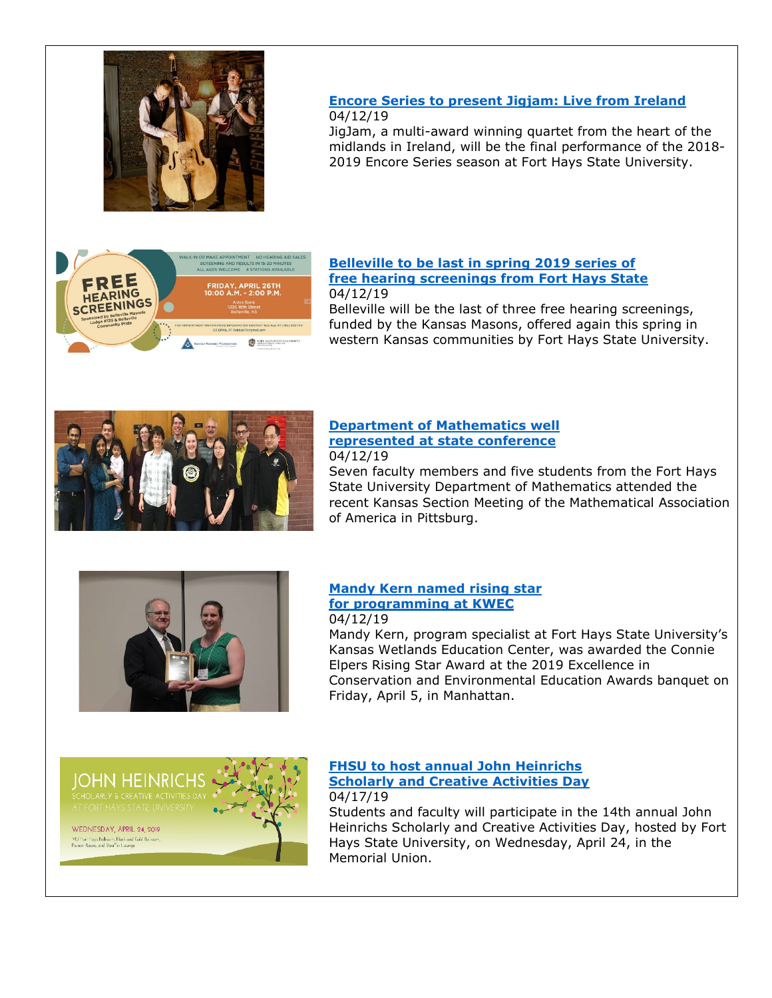

## **[Encore Series to present Jigjam: Live from Ireland](https://www.fhsu.edu/news/2019/04/fhsus-encore-series-to-present-jigjam-live-from-ireland)** 04/12/19

JigJam, a multi-award winning quartet from the heart of the midlands in Ireland, will be the final performance of the 2018- 2019 Encore Series season at Fort Hays State University.



#### **[Belleville to be last in spring 2019 series of](https://www.fhsu.edu/news/2019/04/belleville-to-be-last-in-spring-2019-series-of-free-hearing-screenings-from-fort-hays-state)  [free hearing screenings from Fort Hays State](https://www.fhsu.edu/news/2019/04/belleville-to-be-last-in-spring-2019-series-of-free-hearing-screenings-from-fort-hays-state)** 04/12/19

Belleville will be the last of three free hearing screenings, funded by the Kansas Masons, offered again this spring in western Kansas communities by Fort Hays State University.



### **[Department of Mathematics well](https://www.fhsu.edu/news/2019/04/fhsu-department-of-mathematics-well-represented-at-state-conference)  [represented at state conference](https://www.fhsu.edu/news/2019/04/fhsu-department-of-mathematics-well-represented-at-state-conference)** 04/12/19

Seven faculty members and five students from the Fort Hays State University Department of Mathematics attended the recent Kansas Section Meeting of the Mathematical Association of America in Pittsburg.



### **[Mandy Kern named rising star](https://www.fhsu.edu/news/2019/04/mandy-kern-named-rising-star-for-programming-at-kwec)  [for programming at KWEC](https://www.fhsu.edu/news/2019/04/mandy-kern-named-rising-star-for-programming-at-kwec)** 04/12/19

Mandy Kern, program specialist at Fort Hays State University's Kansas Wetlands Education Center, was awarded the Connie Elpers Rising Star Award at the 2019 Excellence in Conservation and Environmental Education Awards banquet on Friday, April 5, in Manhattan.



### **[FHSU to host annual John Heinrichs](https://www.fhsu.edu/news/2019/04/fhsu-to-host-annual-john-heinrichs-scholarly-and-creative-activities-day)  [Scholarly and Creative Activities Day](https://www.fhsu.edu/news/2019/04/fhsu-to-host-annual-john-heinrichs-scholarly-and-creative-activities-day)** 04/17/19

Students and faculty will participate in the 14th annual John Heinrichs Scholarly and Creative Activities Day, hosted by Fort Hays State University, on Wednesday, April 24, in the Memorial Union.